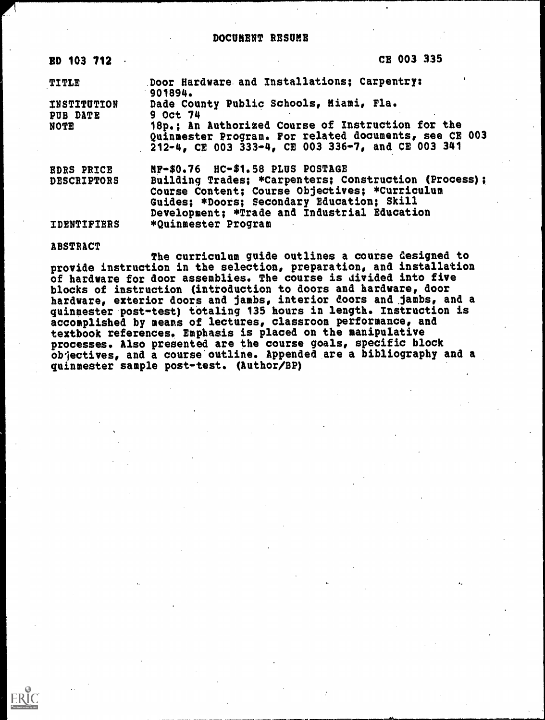#### DOCUMENT RESUME

| <b>ED 103 712</b>              | CE 003 335                                                                                                                                                                                            |  |  |  |
|--------------------------------|-------------------------------------------------------------------------------------------------------------------------------------------------------------------------------------------------------|--|--|--|
| <b>TITLE</b>                   | Door Hardware and Installations; Carpentry:<br>901894.                                                                                                                                                |  |  |  |
| <b>INSTITUTION</b><br>PUB DATE | Dade County Public Schools, Miami, Fla.<br>9 Oct 74                                                                                                                                                   |  |  |  |
| <b>NOTE</b>                    | 18p.; An Authorized Course of Instruction for the<br>Quinmester Program. For related documents, see CE 003<br>212-4, CE 003 333-4, CE 003 336-7, and CE 003 341                                       |  |  |  |
| <b>EDRS PRICE</b>              | MF-\$0.76 HC-\$1.58 PLUS POSTAGE                                                                                                                                                                      |  |  |  |
| <b>DESCRIPTORS</b>             | Building Trades; *Carpenters; Construction (Process);<br>Course Content; Course Objectives; *Curriculum<br>Guides; *Doors; Secondary Education; Skill<br>Development: *Trade and Industrial Education |  |  |  |
| <b>IDENTIFIERS</b>             | *Quinmester Program                                                                                                                                                                                   |  |  |  |

#### ABSTRACT

ERIC

The curriculum guide outlines a course designed to provide instruction in the selection, preparation, and installation of hardware for door assemblies. The course is divided into five blocks of instruction (introduction to doors and hardware, door hardware, exterior doors and jambs, interior doors and jambs, and a quinmester post-test) totaling 135 hours in length. Instruction is accomplished by means of lectures, classroom performance, and textbook references. Emphasis is placed on the manipulative processes. Also presented are the course goals, specific block objectives, and a course outline. Appended are a bibliography and a quinmester sample post-test. (Author/BP)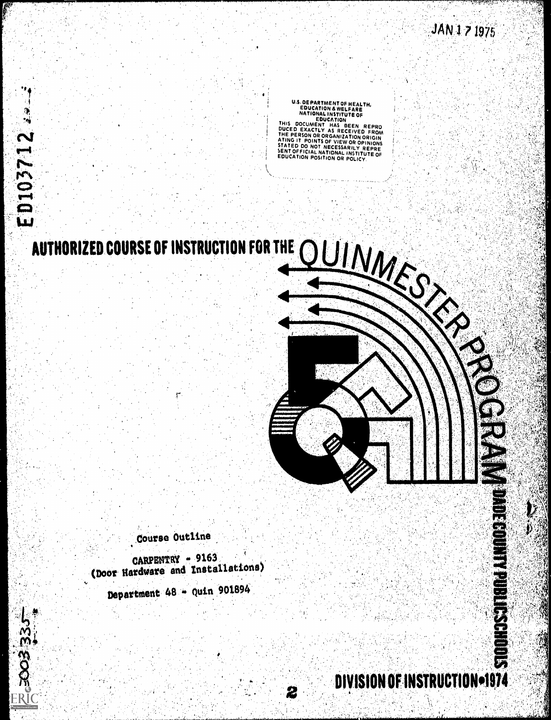**CONCERTMENT OF HEALTH,<br>
EDUCATION A WELFARE<br>
REDUCATION<br>
REDUCATION<br>
EDUCATION<br>
FINS DOCUMENT HAS BEEN REPRO<br>
DUCED EXACTLY AS RECEIVED FROM<br>
THE PERSON OR ORGANIZATION ORIGIN<br>
ATING IT POINTS OF VIEW OR OPINIONS<br>
SENT OF** 

# UIVAS **AUTHORIZED COURSE OF INSTRUCTION FOR THE**

ED103712

Course Outline

CARPENTRY - 9163 (Door Hardware and Installations) Department 48 - Quin 901894

**STORES THE BOOKSTORE** DIVISION OF INSTRUCTION=1974

2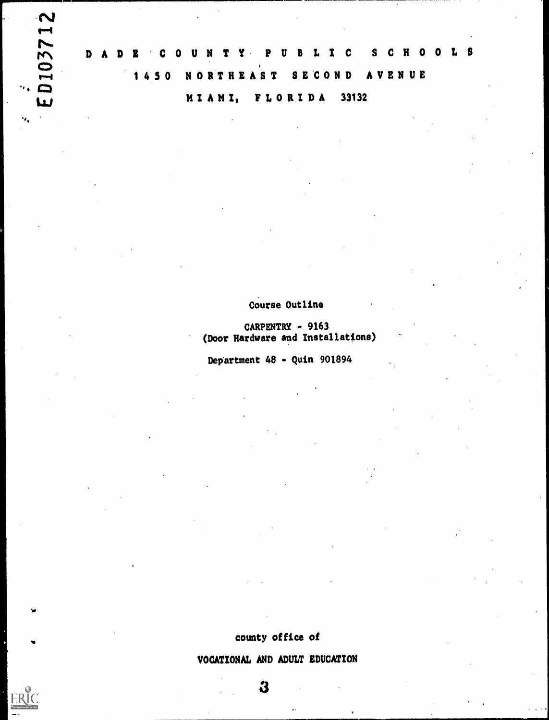$\overline{M}$ 

ERIC

rft M DADE'COUNTY PUBLIC SCHOOLS  $\sum_{\lambda}$ r - 4 1 4 5 0 NORTHEAST SECOND AVENUE MIAMI, FLORIDA 33132

## Course Outline

CARPENTRY - 9163 (Door Hardware and Installations)

Department 48 - Quin 901894

county office of

VOCATIONAL AND ADULT EDUCATION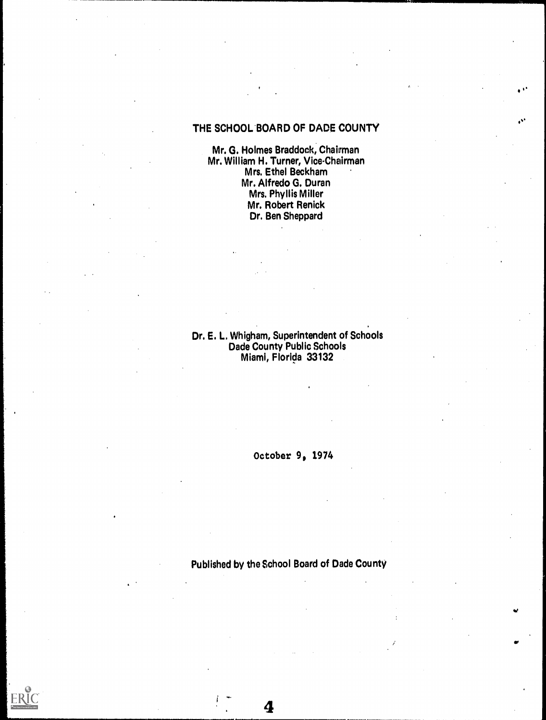# THE SCHOOL BOARD OF DADE COUNTY

Mr. G. Holmes Braddock, Chairman Mr. William H. Turner, Vice-Chairman Mrs. Ethel Beckham Mr. Alfredo G. Duran Mrs. Phyllis Miller Mr. Robert Renick Dr. Ben Sheppard

#### Dr. E. L. Whigham, Superintendent of Schools Dade County Public Schools Miami, Florida 33132

October 9, 1974

Published by the School Board of Dade County

4

**ERIC**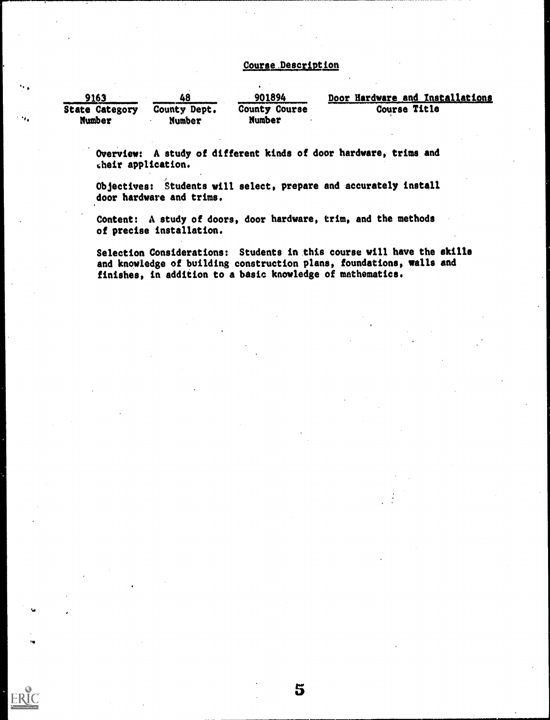#### Course Description

| 9163<br><b>State Category</b><br>Number | 48<br><b>County Dept.</b><br>Number | 901894<br>County Course<br>Number | Door Hardware and Installations<br>Course Title |
|-----------------------------------------|-------------------------------------|-----------------------------------|-------------------------------------------------|
|                                         |                                     |                                   |                                                 |

Overview: A study of different kinds of door hardware, trims and their application.

Ω,

 $\ddot{ }$ 

Objectives: Students will select, prepare and accurately install door hardware and trims.

Content: A study of doors, door hardware, trim, and the methods of precise installation.

Selection Considerations: Students in this course will have the skills and knowledge of building construction plans, foundations, walls and finishes, in addition to a basic knowledge of mathematics.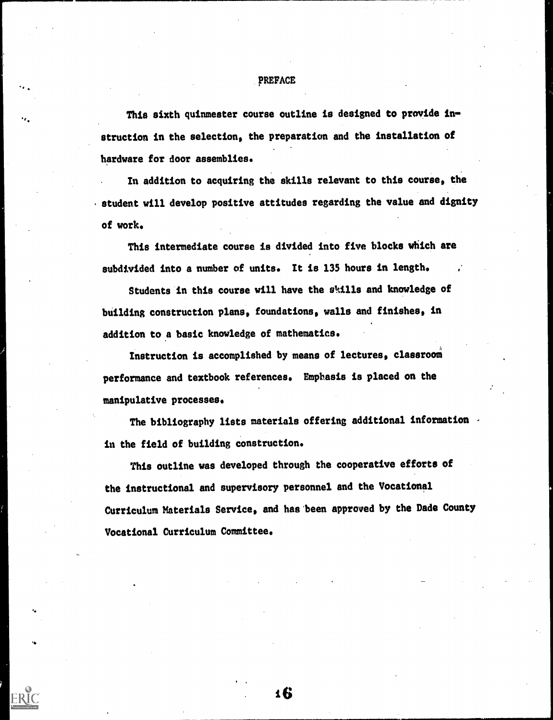#### **PREFACE**

This sixth quinmester course outline is designed to provide instruction in the selection, the preparation and the installation of hardware for door assemblies.

In addition to acquiring the skills relevant to this course, the student will develop positive attitudes regarding the value and dignity of work.

This intermediate course is divided into five blocks which are subdivided into a number of units. It is 135 hours in length.

Students in this course will have the skills and knowledge of building construction plans, foundations, walls and finishes, in addition to a basic knowledge of mathematics.

Instruction is accomplished by means of lectures, classroom performance and textbook references. Emphasis is placed on the manipulative processes.

The bibliography lists materials offering additional information in the field of building construction.

This outline was developed through the cooperative efforts of the instructional and supervisory personnel and the Vocational Curriculum Materials Service, and has'been approved by the Dade County Vocational Curriculum Committee.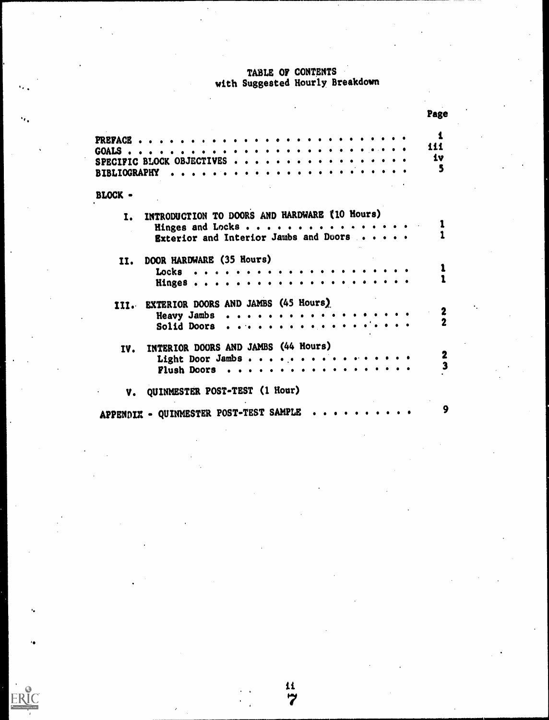#### TABLE OF CONTENTS with Suggested Hourly Breakdown

|                     |                                                  | Page |
|---------------------|--------------------------------------------------|------|
| <b>PREFACE</b>      |                                                  |      |
| GOALS.              |                                                  | 111  |
|                     | SPECIFIC BLOCK OBJECTIVES                        | 1v   |
| <b>BIBLIOGRAPHY</b> |                                                  |      |
|                     |                                                  |      |
| BLOCK -             |                                                  |      |
|                     | I. INTRODUCTION TO DOORS AND HARDWARE (10 Hours) |      |
|                     | Hinges and Locks                                 |      |
|                     | Exterior and Interior Jambs and Doors            |      |
|                     | II. DOOR HARDWARE (35 Hours)                     |      |
|                     | $Locks \t\t\t\t$                                 |      |
|                     | Hinges                                           |      |
|                     | III. EXTERIOR DOORS AND JAMBS (45 Hours)         |      |
|                     | Heavy Jambs                                      |      |
|                     | Solid Doors                                      |      |
| IV.                 | INTERIOR DOORS AND JAMBS (44 Hours)              |      |
|                     | Light Door Jambs                                 |      |
|                     | Flush Doors                                      | 3    |
|                     |                                                  |      |
| V.                  | QUINMESTER POST-TEST (1 Hour)                    |      |
|                     |                                                  |      |
|                     | APPENDIX - QUINMESTER POST-TEST SAMPLE           |      |

 $\frac{11}{7}$ 

ERIC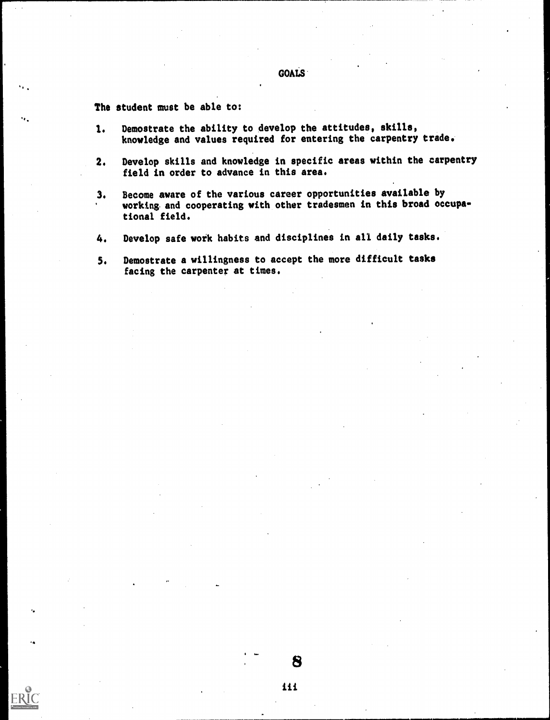## GOALS

The student must be able to:

٠.

٠.

- 1. Demostrate the ability to develop the attitudes, skills, knowledge and values required for entering the carpentry trade.
- Develop skills and knowledge in specific areas within the carpentry  $2.$ field in order to advance in this area.
- 3. Become aware of the various career opportunities available by working and cooperating with other tradesmen in this broad occupational field.
- 4. Develop safe work habits and disciplines in all daily tasks.
- 5. Demostrate a willingness to accept the more difficult tasks facing the carpenter at times.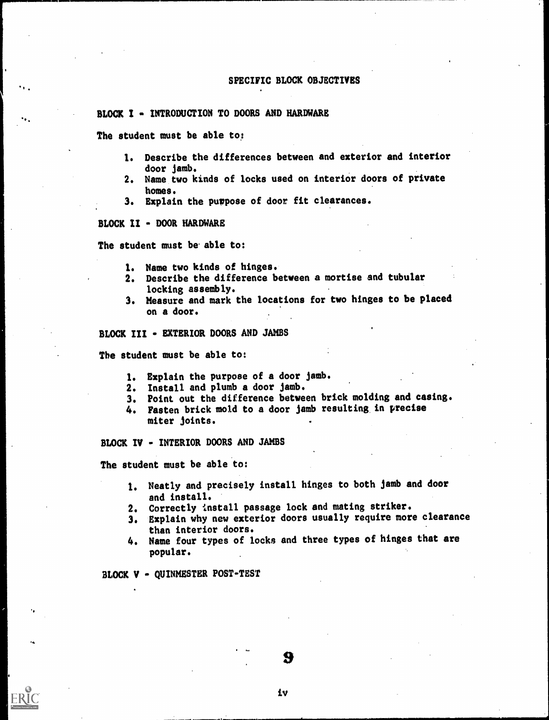#### SPECIFIC BLOCK OBJECTIVES

#### BLOCK I - INTRODUCTION TO DOORS AND HARDWARE

The student must be able to:

- 1. Describe the differences between and exterior and interior door jamb.
- 2. Name two kinds of locks used on interior doors of private homes.
- 3. Explain the purpose of door fit clearances.

BLOCK II - DOOR HARDWARE

The student must be able to:

- 1. Name two kinds of hinges.
- 2. Describe the difference between a mortise and tubular locking assembly.
- 3. Measure and mark the locations for two hinges to be placed on a door.

BLOCK III - EXTERIOR DOORS AND JAMBS

The student must be able to:

- 1. Explain the purpose of a door jamb.
- 2. Install and plumb a door jamb.
- 3. Point out the difference between brick molding and casing.
- 4. Fasten brick mold to a door jamb resulting in precise miter joints.

BLOCK IV - INTERIOR DOORS AND JAMBS

The student must be able to:

- 1. Neatly and precisely install hinges to both jamb and door and install.
- 2. Correctly install passage lock and mating striker.
- 3. Explain why new exterior doors usually require more clearance than interior doors.
- 4. Name four types of locks and three types of hinges that are popular.

BLOCK V - QUINMESTER POST-TEST

iv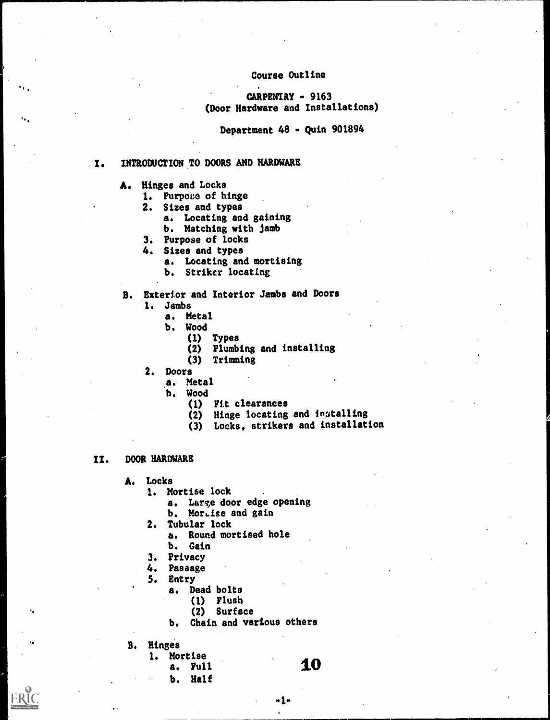#### Course Outline

#### $CARPENIRY - 9163$ (Door Hardware and Installations)

Department 48 - Quin 901894

#### I. INTRODUCTION TO DOORS AND HARDWARE

- A. Hinges and Locks
	- 1. Purpose of hinge
	- 2. Sizes and types
		- a. Locating and gaining
		- b. Matching with jamb
	- 3. Purpose of locks
	- 4. Sizes and types
		- a. Locating and mortising
		- b. Striker locating
- B. Exterior and Interior Jambs and Doors
	- 1. Jambs
		- a. Metal
		- b. Wood
			- (1) Types
			- (2) Plumbing and installing
			- (3) Trimming
	- 2. Doors
		- a. Metal
		- b. Wood
			- (1) Fit clearances
			- (2) Hinge locating and installing
			- (3) Locks, strikers and installation

#### II. DOOR HARDWARE

- A. Locks
	- 1. Mortise lock
		- a. Large door edge opening
		- b. Mortise and gain
	- 2. Tubular lock
		- a. Round mortised hole
		- b. Gain
	- 3. Privacy
	- 4. Passage
	- 5. Entry
		- a. Dead bolts
			- (1) Flush
				- (2) Surface
		- b. Chain and various others
- 8, Hinges

.4

٠.,

- 1. Mortise
	- a. Full
	- b. Half

10

-1-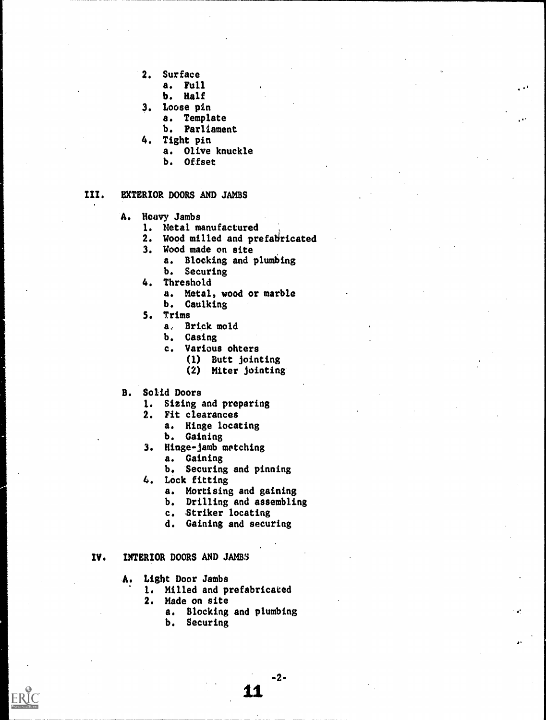- 2. Surface
	- a. Full
	- b. Half
- 3. Loose pin
	- a. Template
	- b. Parliament
- 4. Tight pin
	- a. Olive knuckle
	- b. Offset

#### III. EXTERIOR DOORS AND JAMBS

- A. Heavy Jambs
	- 1. Metal manufactured
	- 2. Wood milled and prefabricated
	- 3. Wood made on site
		- a. Blocking and plumbing b. Securing
	- 4. Threshold
		- a. Metal, wood or marble b. Caulking
	- 5. Trims
		- a, Brick mold
		- b. Casing
		- c. Various ohters
			- (1) Butt jointing
				- (2) Miter jointing
- B. Solid Doors
	- 1. Sizing and preparing
	- 2. Fit clearances
		- a. Hinge locating
		- b. Gaining
	- 3. Hinge-jamb metching
	- a. Gaining b. Securing and pinning
	- 4. Lock fitting
		- a. Mortising and gaining
		- b. Drilling and assembling
		- c. Striker locating
		- d. Gaining and securing

#### IV. INTERIOR DOORS AND JAMBS

- A. Light Door Jambs
	- 1. Milled and prefabricated
	- 2. Made on site
		- a. Blocking and plumbing

 $-2-$ 

b. Securing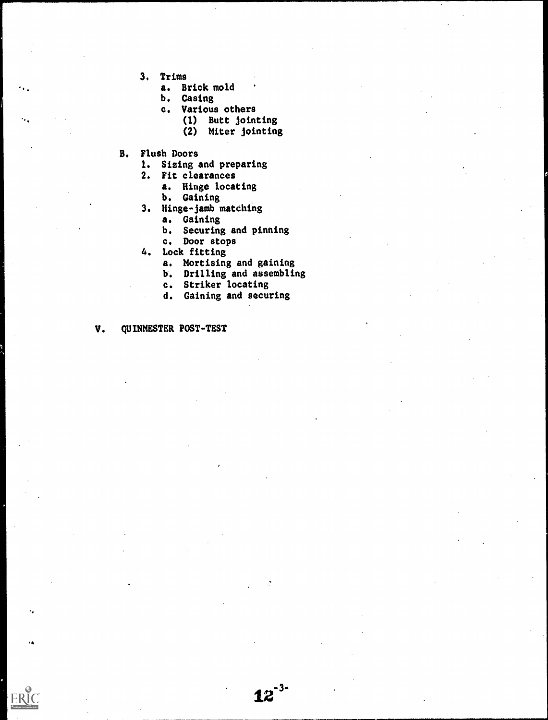3. Trims

 $\ddot{\phantom{a}}$ 

ERIC

- a. Brick mold
- b. Casing
- c. Various others
	- (1) Butt jointing
		- (2) Miter jointing
- B. Flush Doors
	- 1. Sizing and preparing
	- 2. Fit clearances
		- a. Hinge locating
		- b. Gaining
	- 3. Hinge-jamb matching
		- a. Gaining
			- b. Securing and pinning
		- c. Door stops
	- 4. Lock fitting
		- a. Mortising and gaining
		- b. Drilling and assembling

 $12^{-3}$ 

 $\mathcal{L}$ 

- c. Striker locating
- d. Gaining and securing

V. QUINMESTER POST-TEST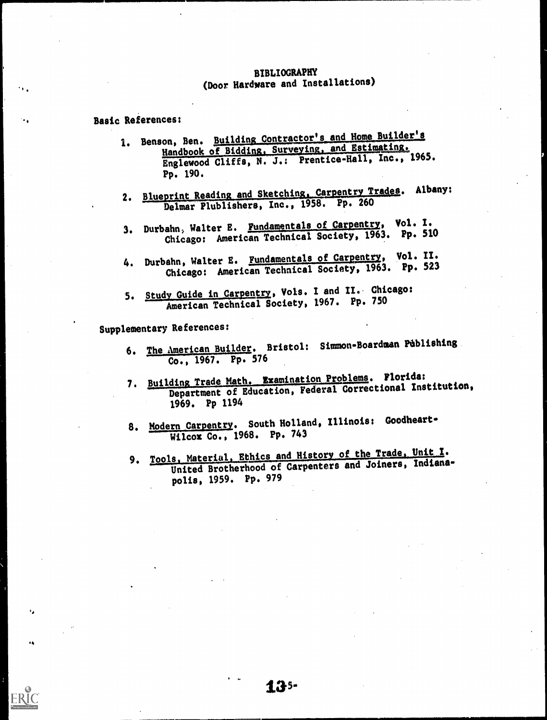## BIBLIOGRAPHY (Door. Hardware and Installations)

#### Basic References:

- 1. Benson, Ben. Building Contractor's and Home Builder's Handbook of Bidding, Surveying, and Estimating. Englewood Cliffs, N. J.: Prentice-Hall, Inc., 1965. Pp. 190.
- 2. Blueprint Reading and Sketching, Carpentry Trades. Albany: Delmar Plublishers, Inc., 1958. Pp. 260
- 3. Durbahn, Walter E. Fundamentals of Carpentry, Vol. I. Chicago: American Technical Society, 1963. Pp. 510
- 4. Durbahn, Walter E. Fundamentals of Carpentry, Vol. II. Chicago: American Technical Society, 1963. Pp. 523
- 5. Study Guide in Carpentry, Vols. I and II. Chicago: American Technical Society, 1967. Pp. 750

Supplementary References:

 $\ddot{\bullet}$ 

- 6. The American Builder. Bristol: Simmon-Boardman Publishing Co., 1967. Pp. 576
- 7. Building Trade Math. Examination Problems. Florida: Department of Education, Federal Correctional Institution, 1969. Pp 1194
- 8. Modern Carpentry. South Holland, Illinois: Goodheart-Wilcox Co., 1968. Pp. 743
- 9. Tools, Material, Ethics and History of the Trade, Unit I. United Brotherhood of Carpenters and Joiners, Indianapolis, 1959. Pp. 979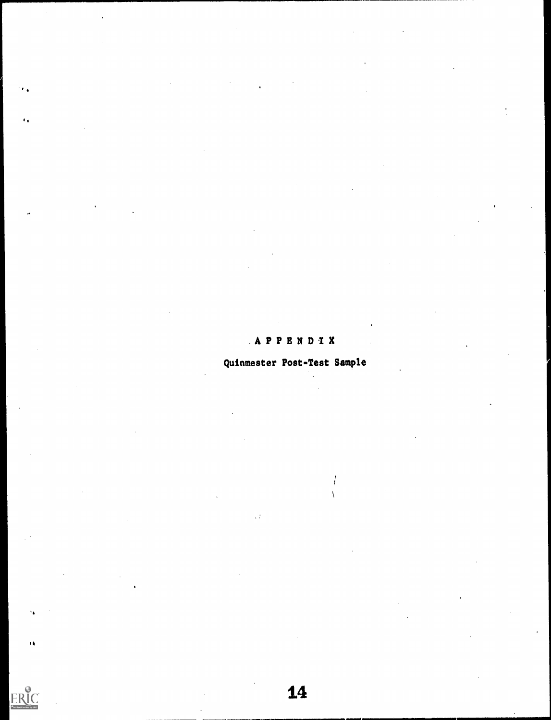# .APPENDIX

..

 $\epsilon_{\rm A}$ 

 $\ddot{\bullet}$ 

ERIC

# Quinmester Post-Test Sample

 $\ddot{\phantom{0}}$ 

 $\sqrt{ }$ 

 $\frac{1}{2}$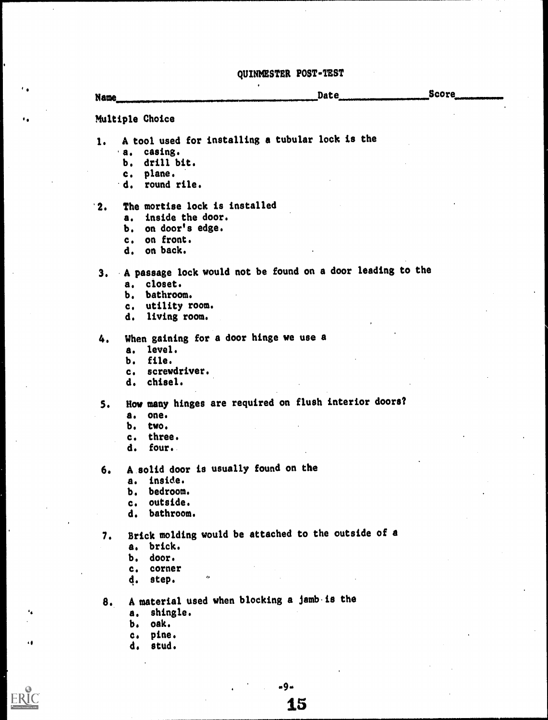# QUINMESTER POST-TEST

| <b>Name</b> |                                                            | <b>Date</b> | <b>Score</b> |
|-------------|------------------------------------------------------------|-------------|--------------|
|             | Multiple Choice                                            |             |              |
| 1.          | A tool used for installing a tubular lock is the           |             |              |
|             | a. casing.                                                 |             |              |
|             | drill bit.<br>Ъ.                                           |             |              |
|             | plane.<br>$c_{\bullet}$                                    |             |              |
|             | d. round rile.                                             |             |              |
| $\cdot$ 2.  | The mortise lock is installed                              |             |              |
|             | a. inside the door.                                        |             |              |
|             | on door's edge.<br>b.                                      |             |              |
|             | on front.<br>c <sub>1</sub>                                |             |              |
|             | on back.<br>d.                                             |             |              |
| 3.          | A passage lock would not be found on a door leading to the |             |              |
|             | a. closet.                                                 |             |              |
|             | b. bathroom.                                               |             |              |
|             | c. utility room.                                           |             |              |
|             | living room.<br>d.                                         |             |              |
| 4.          | When gaining for a door hinge we use a                     |             |              |
|             | a. level.                                                  |             |              |
|             | b. file.                                                   |             |              |
|             | screwdriver.<br>c.                                         |             |              |
|             | d. chisel.                                                 |             |              |
| 5.          | How many hinges are required on flush interior doors?      |             |              |
|             | one.<br>a.                                                 |             |              |
|             | Ъ.<br>two.                                                 |             |              |
|             | three.<br>c.                                               |             |              |
|             | four.<br>d.                                                |             |              |
| 6.          | A solid door is usually found on the                       |             |              |
|             | inside.<br>a.                                              |             |              |
|             | b. bedroom.                                                |             |              |
|             | c. outside.                                                |             |              |
|             | d. bathroom.                                               |             |              |
| 7.          | Brick molding would be attached to the outside of a        |             |              |
|             | brick.<br>$\ddot{\mathbf{a}}$ .                            |             |              |
|             | door.<br>Ъ.                                                |             |              |
|             | corner<br>$c_{\bullet}$                                    |             |              |
|             | $\mathbf{c}$<br>d. step.                                   |             |              |
| 8.          | A material used when blocking a jamb is the                |             |              |
|             | shingle.<br>a.                                             |             |              |
|             | oak.<br>b. <b>12</b>                                       |             |              |
|             | pine.<br>$c_{\bullet}$                                     |             |              |
|             | stud.<br>d.                                                |             |              |

 $-9-$ <br> $15$ 

41

 $\sum_{\text{A}} \underbrace{\prod_{\text{full Test Perioded by EBC}}$ 

 $\overline{\phantom{a}}$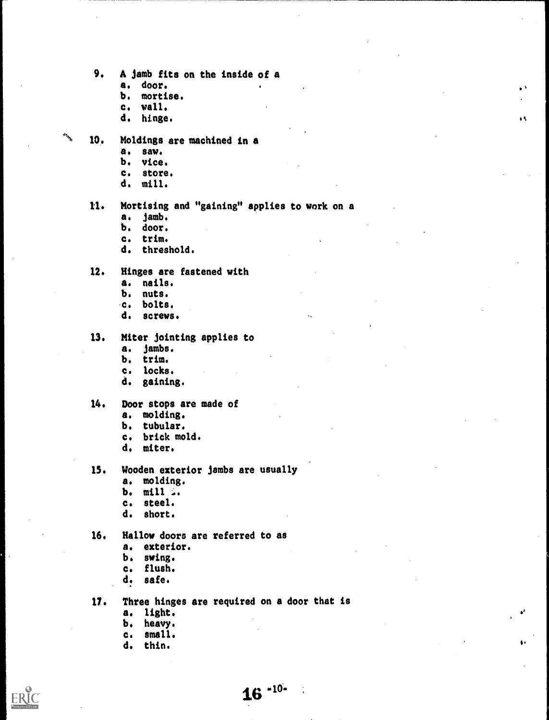9. A jamb fits on the inside of a

 $\mathbf{r}$ 

 $\bullet$ 

άŧ.

- a. door.
- b. mortise.
- c. wall.
- d. hinge.
- 10. Moldings are machined in a
	- a. saw.
	- b. vice.
	- c. store.
	- d. mill.
	- U. Mortising and "gaining" applies to work on a
		- a. jamb.
		- b. door.
		- c. trim.
		- d. threshold.
	- 12. Hinges are fastened with
		- a. nails.
		- b. nuts.
		- c. bolts.
		- d. screws.

#### 13. Miter jointing applies to

- a. jambs.
- b. trim.
- c. locks.
- d. gaining.

#### 14. Door stops are made of

- a. molding.
- b. tubular.
- c. brick mold.
- d. miter.
- IS. Wooden exterior jambs are usually
	- a. molding.
	- b. mill ..
	- c. steel.
	- d. short.
- 16. Hallow doors are referred to as
	- a. exterior.
	- b. swing.
	- c. flush.
	- d. safe.
- 17. Three hinges are required on a door that is
	- a. light.
	- b. heavy,
	- c, small.
	- d. thin,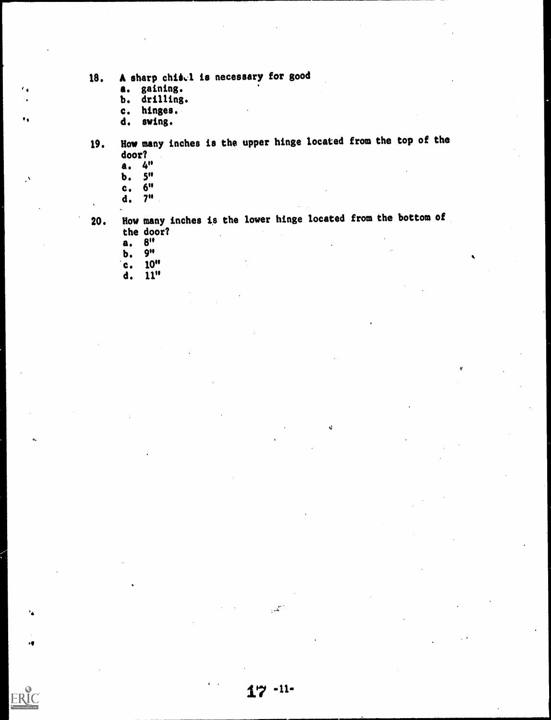- 18. A sharp chisel is necessary for good
	- a. gaining.
	- b. drilling.
	- c. hinges.
	- d. swing.
- 19. Haw many inches is the upper hinge located from the top of the door?
	- a. 4"

، ،

٠,

 $\mathcal{A}$ 

ERIC

- 
- $\overline{b}$ .  $\overline{5}$ " c.
- d. 7"
- 
- 20. How many inches is the lower hinge located from the bottom of the door?

iJ

- $\frac{a}{b}$ .  $\frac{8}{9}$
- $\mathbf{b}$ .<br> $\mathbf{c}$ .
- $10"$
- d. 11"

 $\mathbb{R}^2$